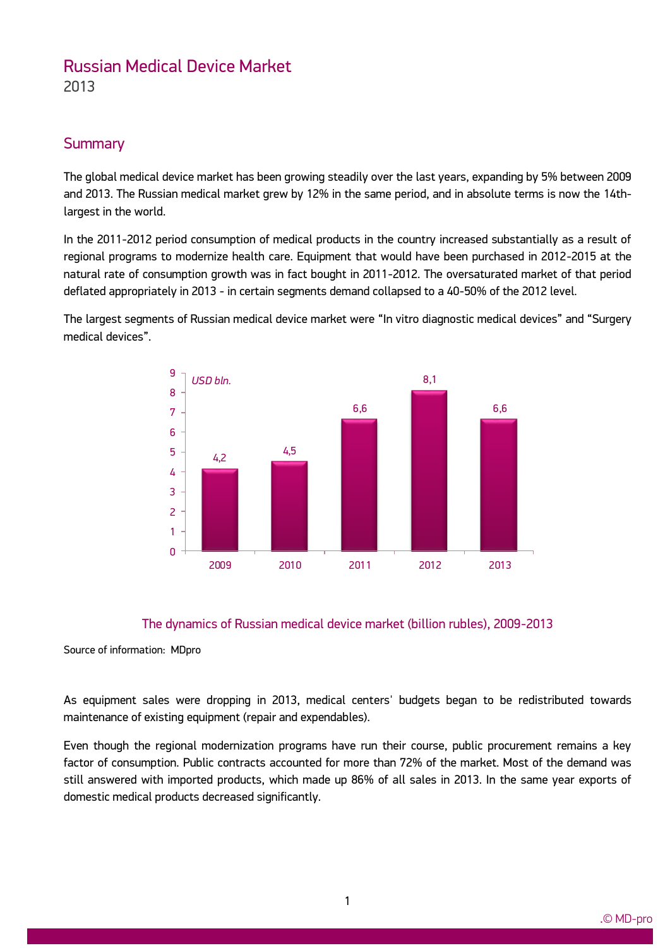# Russian Medical Device Market 2013

### **Summary**

The global medical device market has been growing steadily over the last years, expanding by 5% between 2009 and 2013. The Russian medical market grew by 12% in the same period, and in absolute terms is now the 14thlargest in the world.

In the 2011-2012 period consumption of medical products in the country increased substantially as a result of regional programs to modernize health care. Equipment that would have been purchased in 2012-2015 at the natural rate of consumption growth was in fact bought in 2011-2012. The oversaturated market of that period deflated appropriately in 2013 - in certain segments demand collapsed to a 40-50% of the 2012 level.

The largest segments of Russian medical device market were "In vitro diagnostic medical devices" and "Surgery medical devices".



#### The dynamics of Russian medical device market (billion rubles), 2009-2013

Source of information: MDpro

ww.mdecker.com

As equipment sales were dropping in 2013, medical centers' budgets began to be redistributed towards maintenance of existing equipment (repair and expendables).

Even though the regional modernization programs have run their course, public procurement remains a key factor of consumption. Public contracts accounted for more than 72% of the market. Most of the demand was still answered with imported products, which made up 86% of all sales in 2013. In the same year exports of domestic medical products decreased significantly.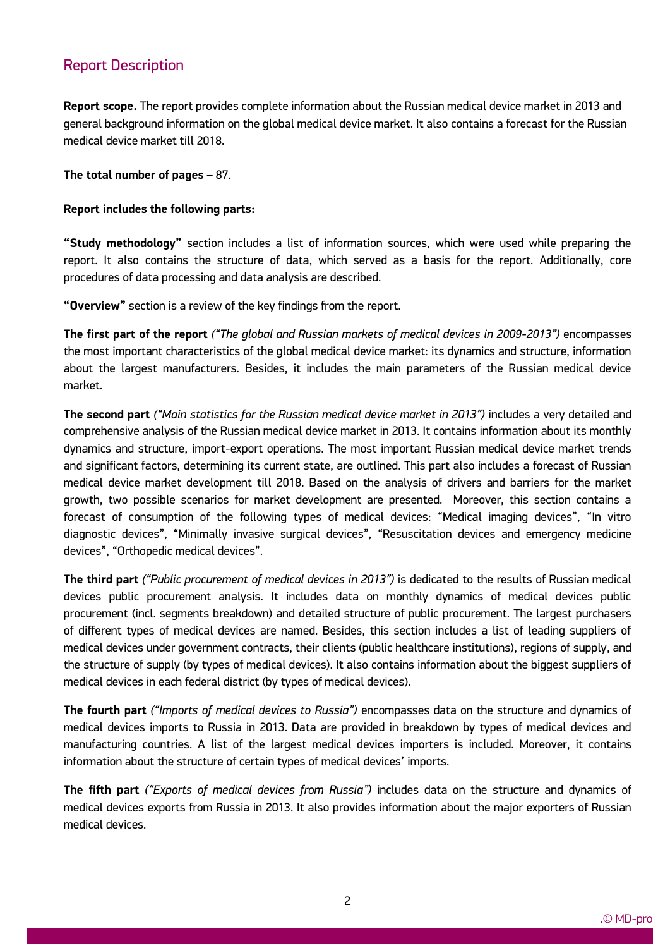# Report Description

ww.mdecker.com

**Report scope.** The report provides complete information about the Russian medical device market in 2013 and general background information on the global medical device market. It also contains a forecast for the Russian medical device market till 2018.

**The total number of pages** – 87.

#### **Report includes the following parts:**

**"Study methodology"** section includes a list of information sources, which were used while preparing the report. It also contains the structure of data, which served as a basis for the report. Additionally, core procedures of data processing and data analysis are described.

**"Overview"** section is a review of the key findings from the report.

**The first part of the report** *("The global and Russian markets of medical devices in 2009-2013")* encompasses the most important characteristics of the global medical device market: its dynamics and structure, information about the largest manufacturers. Besides, it includes the main parameters of the Russian medical device market.

**The second part** *("Main statistics for the Russian medical device market in 2013")* includes a very detailed and comprehensive analysis of the Russian medical device market in 2013. It contains information about its monthly dynamics and structure, import-export operations. The most important Russian medical device market trends and significant factors, determining its current state, are outlined. This part also includes a forecast of Russian medical device market development till 2018. Based on the analysis of drivers and barriers for the market growth, two possible scenarios for market development are presented. Moreover, this section contains a forecast of consumption of the following types of medical devices: "Medical imaging devices", "In vitro diagnostic devices", "Minimally invasive surgical devices", "Resuscitation devices and emergency medicine devices", "Orthopedic medical devices".

**The third part** *("Public procurement of medical devices in 2013")* is dedicated to the results of Russian medical devices public procurement analysis. It includes data on monthly dynamics of medical devices public procurement (incl. segments breakdown) and detailed structure of public procurement. The largest purchasers of different types of medical devices are named. Besides, this section includes a list of leading suppliers of medical devices under government contracts, their clients (public healthcare institutions), regions of supply, and the structure of supply (by types of medical devices). It also contains information about the biggest suppliers of medical devices in each federal district (by types of medical devices).

**The fourth part** *("Imports of medical devices to Russia")* encompasses data on the structure and dynamics of medical devices imports to Russia in 2013. Data are provided in breakdown by types of medical devices and manufacturing countries. A list of the largest medical devices importers is included. Moreover, it contains information about the structure of certain types of medical devices' imports.

**The fifth part** *("Exports of medical devices from Russia")* includes data on the structure and dynamics of medical devices exports from Russia in 2013. It also provides information about the major exporters of Russian medical devices.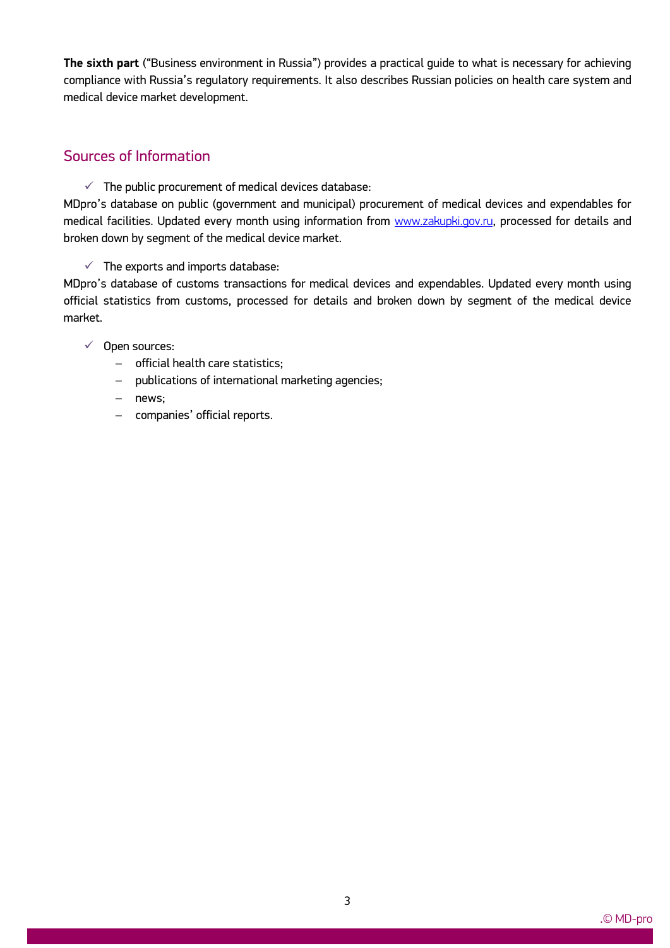**The sixth part** ("Business environment in Russia") provides a practical guide to what is necessary for achieving compliance with Russia's regulatory requirements. It also describes Russian policies on health care system and medical device market development.

# Sources of Information

 $\checkmark$  The public procurement of medical devices database:

MDpro's database on public (government and municipal) procurement of medical devices and expendables for medical facilities. Updated every month using information from www.zakupki.gov.ru, processed for details and broken down by segment of the medical device market.

 $\checkmark$  The exports and imports database:

MDpro's database of customs transactions for medical devices and expendables. Updated every month using official statistics from customs, processed for details and broken down by segment of the medical device market.

### $\checkmark$  Open sources:

- official health care statistics;
- publications of international marketing agencies;
- news:

ww.mdecker.com

- companies' official reports.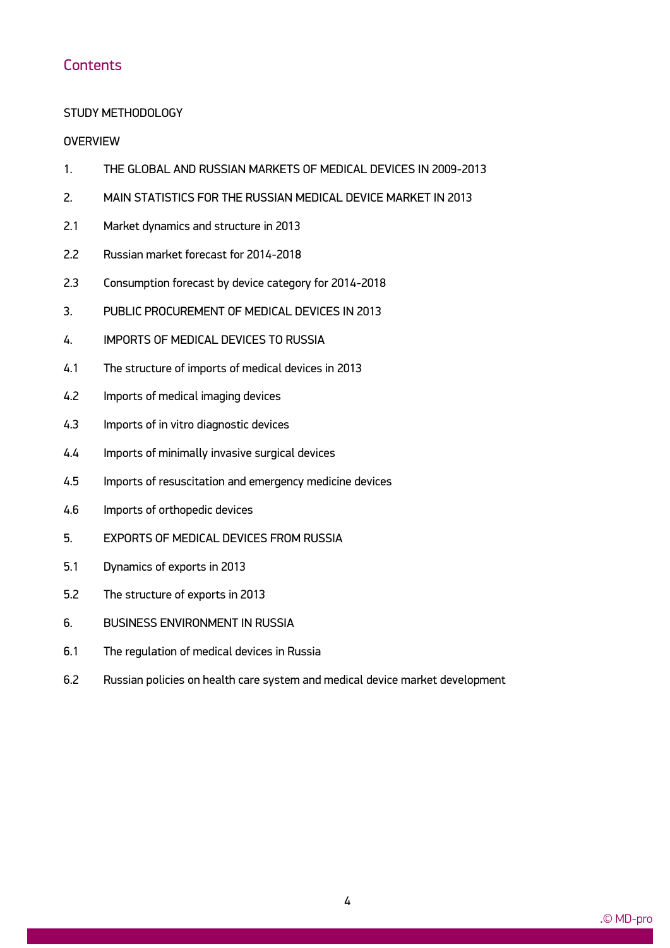# **Contents**

### STUDY METHODOLOGY

### **OVERVIEW**

- 1. THE GLOBAL AND RUSSIAN MARKETS OF MEDICAL DEVICES IN 2009-2013
- 2. MAIN STATISTICS FOR THE RUSSIAN MEDICAL DEVICE MARKET IN 2013
- 2.1 Market dynamics and structure in 2013
- 2.2 Russian market forecast for 2014-2018
- 2.3 Consumption forecast by device category for 2014-2018
- 3. PUBLIC PROCUREMENT OF MEDICAL DEVICES IN 2013
- 4. IMPORTS OF MEDICAL DEVICES TO RUSSIA
- 4.1 The structure of imports of medical devices in 2013
- 4.2 Imports of medical imaging devices
- 4.3 Imports of in vitro diagnostic devices
- 4.4 Imports of minimally invasive surgical devices
- 4.5 Imports of resuscitation and emergency medicine devices
- 4.6 Imports of orthopedic devices
- 5. EXPORTS OF MEDICAL DEVICES FROM RUSSIA
- 5.1 Dynamics of exports in 2013

ww.mdecker.com

- 5.2 The structure of exports in 2013
- 6. BUSINESS ENVIRONMENT IN RUSSIA
- 6.1 The regulation of medical devices in Russia
- 6.2 Russian policies on health care system and medical device market development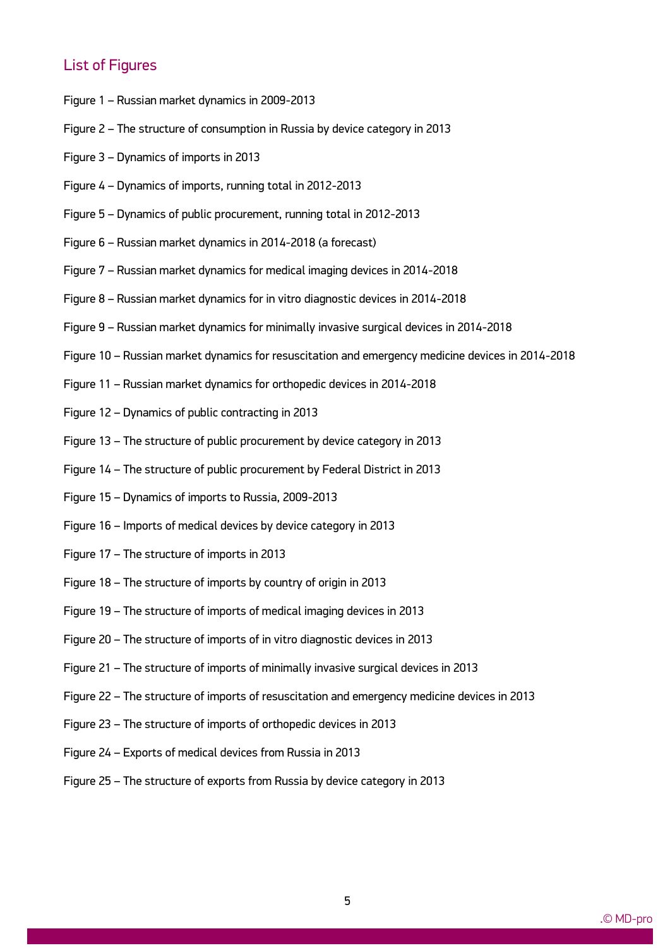### List of Figures

- Figure 1 Russian market dynamics in 2009-2013
- Figure 2 The structure of consumption in Russia by device category in 2013
- Figure 3 Dynamics of imports in 2013
- Figure 4 Dynamics of imports, running total in 2012-2013
- Figure 5 Dynamics of public procurement, running total in 2012-2013
- Figure 6 Russian market dynamics in 2014-2018 (a forecast)
- Figure 7 Russian market dynamics for medical imaging devices in 2014-2018
- Figure 8 Russian market dynamics for in vitro diagnostic devices in 2014-2018
- Figure 9 Russian market dynamics for minimally invasive surgical devices in 2014-2018
- Figure 10 Russian market dynamics for resuscitation and emergency medicine devices in 2014-2018
- Figure 11 Russian market dynamics for orthopedic devices in 2014-2018
- Figure 12 Dynamics of public contracting in 2013
- Figure 13 The structure of public procurement by device category in 2013
- Figure 14 The structure of public procurement by Federal District in 2013
- Figure 15 Dynamics of imports to Russia, 2009-2013
- Figure 16 Imports of medical devices by device category in 2013
- Figure 17 The structure of imports in 2013
- Figure 18 The structure of imports by country of origin in 2013
- Figure 19 The structure of imports of medical imaging devices in 2013
- Figure 20 The structure of imports of in vitro diagnostic devices in 2013
- Figure 21 The structure of imports of minimally invasive surgical devices in 2013
- Figure 22 The structure of imports of resuscitation and emergency medicine devices in 2013
- Figure 23 The structure of imports of orthopedic devices in 2013
- Figure 24 Exports of medical devices from Russia in 2013

ww.mdecker.com

Figure 25 – The structure of exports from Russia by device category in 2013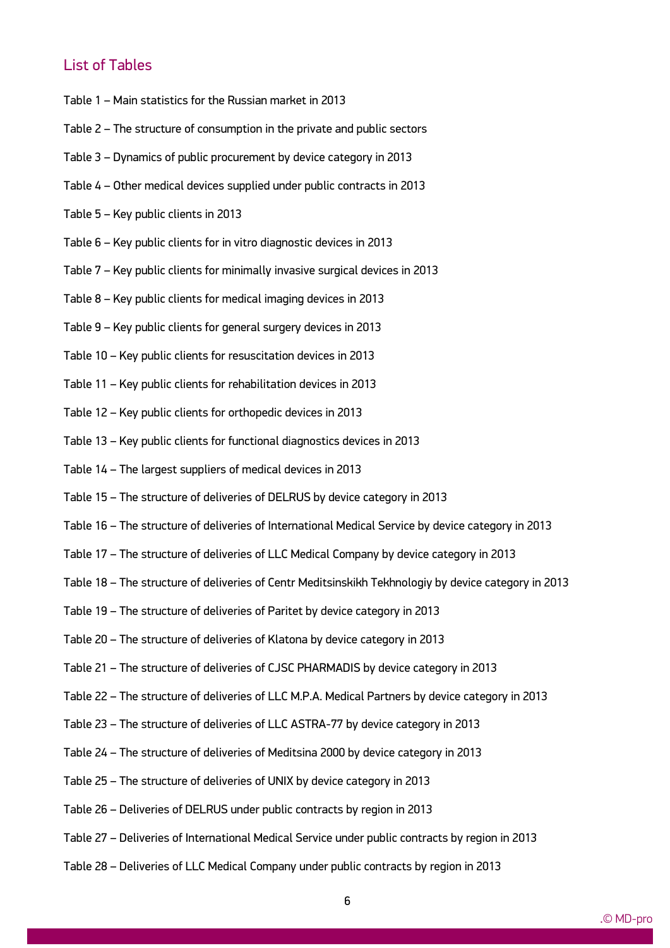# List of Tables

- Table 1 Main statistics for the Russian market in 2013
- Table 2 The structure of consumption in the private and public sectors
- Table 3 Dynamics of public procurement by device category in 2013
- Table 4 Other medical devices supplied under public contracts in 2013
- Table 5 Key public clients in 2013
- Table 6 Key public clients for in vitro diagnostic devices in 2013
- Table 7 Key public clients for minimally invasive surgical devices in 2013
- Table 8 Key public clients for medical imaging devices in 2013
- Table 9 Key public clients for general surgery devices in 2013
- Table 10 Key public clients for resuscitation devices in 2013
- Table 11 Key public clients for rehabilitation devices in 2013
- Table 12 Key public clients for orthopedic devices in 2013
- Table 13 Key public clients for functional diagnostics devices in 2013
- Table 14 The largest suppliers of medical devices in 2013
- Table 15 The structure of deliveries of DELRUS by device category in 2013
- Table 16 The structure of deliveries of International Medical Service by device category in 2013
- Table 17 The structure of deliveries of LLC Medical Company by device category in 2013
- Table 18 The structure of deliveries of Centr Meditsinskikh Tekhnologiy by device category in 2013
- Table 19 The structure of deliveries of Paritet by device category in 2013
- Table 20 The structure of deliveries of Klatona by device category in 2013
- Table 21 The structure of deliveries of CJSC PHARMADIS by device category in 2013
- Table 22 The structure of deliveries of LLC M.P.A. Medical Partners by device category in 2013
- Table 23 The structure of deliveries of LLC ASTRA-77 by device category in 2013
- Table 24 The structure of deliveries of Meditsina 2000 by device category in 2013
- Table 25 The structure of deliveries of UNIX by device category in 2013
- Table 26 Deliveries of DELRUS under public contracts by region in 2013

ww.mdecker.com

- Table 27 Deliveries of International Medical Service under public contracts by region in 2013
- Table 28 Deliveries of LLC Medical Company under public contracts by region in 2013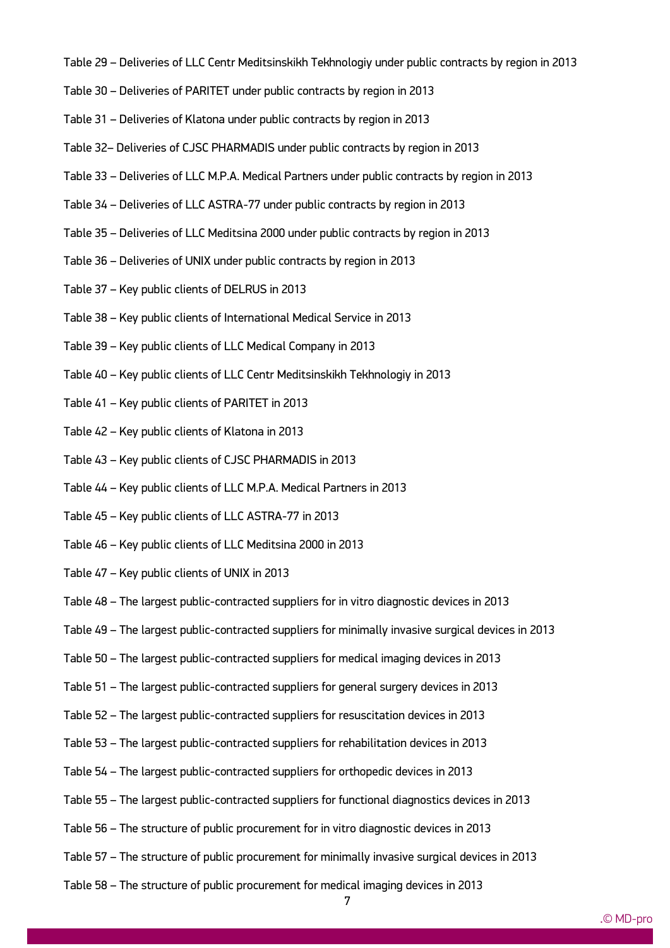- Table 29 Deliveries of LLC Centr Meditsinskikh Tekhnologiy under public contracts by region in 2013
- Table 30 Deliveries of PARITET under public contracts by region in 2013
- Table 31 Deliveries of Klatona under public contracts by region in 2013
- Table 32– Deliveries of CJSC PHARMADIS under public contracts by region in 2013
- Table 33 Deliveries of LLC M.P.A. Medical Partners under public contracts by region in 2013
- Table 34 Deliveries of LLC ASTRA-77 under public contracts by region in 2013
- Table 35 Deliveries of LLC Meditsina 2000 under public contracts by region in 2013
- Table 36 Deliveries of UNIX under public contracts by region in 2013
- Table 37 Key public clients of DELRUS in 2013
- Table 38 Key public clients of International Medical Service in 2013
- Table 39 Key public clients of LLC Medical Company in 2013
- Table 40 Key public clients of LLC Centr Meditsinskikh Tekhnologiy in 2013
- Table 41 Key public clients of PARITET in 2013
- Table 42 Key public clients of Klatona in 2013
- Table 43 Key public clients of CJSC PHARMADIS in 2013
- Table 44 Key public clients of LLC M.P.A. Medical Partners in 2013
- Table 45 Key public clients of LLC ASTRA-77 in 2013
- Table 46 Key public clients of LLC Meditsina 2000 in 2013
- Table 47 Key public clients of UNIX in 2013

ww.mdecker.com

- Table 48 The largest public-contracted suppliers for in vitro diagnostic devices in 2013
- Table 49 The largest public-contracted suppliers for minimally invasive surgical devices in 2013
- Table 50 The largest public-contracted suppliers for medical imaging devices in 2013
- Table 51 The largest public-contracted suppliers for general surgery devices in 2013
- Table 52 The largest public-contracted suppliers for resuscitation devices in 2013
- Table 53 The largest public-contracted suppliers for rehabilitation devices in 2013
- Table 54 The largest public-contracted suppliers for orthopedic devices in 2013
- Table 55 The largest public-contracted suppliers for functional diagnostics devices in 2013
- Table 56 The structure of public procurement for in vitro diagnostic devices in 2013
- Table 57 The structure of public procurement for minimally invasive surgical devices in 2013
- Table 58 The structure of public procurement for medical imaging devices in 2013